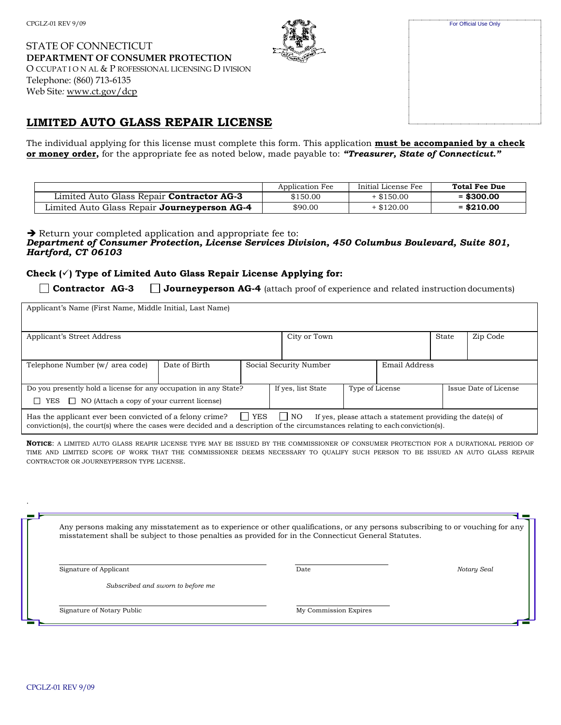STATE OF CONNECTICUT **DEPARTMENT OF CONSUMER PROTECTION** O CCUPAT I O N AL & P ROFESSIONAL LICENSING D IVISION Telephone: (860) 713-6135 Web Site*:* [www.ct.gov/dcp](http://www.ct.gov/dcp)

# **LIMITED AUTO GLASS REPAIR LICENSE**

The individual applying for this license must complete this form. This application **must be accompanied by a check or money order,** for the appropriate fee as noted below, made payable to: *"Treasurer, State of Connecticut."*

|                                                     | Application Fee | Initial License Fee | <b>Total Fee Due</b> |
|-----------------------------------------------------|-----------------|---------------------|----------------------|
| Limited Auto Glass Repair <b>Contractor AG-3</b>    | \$150.00        | $+$ \$150.00        | $=$ \$300.00         |
| Limited Auto Glass Repair <b>Journeyperson AG-4</b> | \$90.00         | $+$ \$120.00        | $=$ \$210.00         |

**→** Return your completed application and appropriate fee to:

#### *Department of Consumer Protection, License Services Division, 450 Columbus Boulevard, Suite 801, Hartford, CT 06103*

#### **Check (**✓**) Type of Limited Auto Glass Repair License Applying for:**

**Contractor AG-3 Journeyperson AG-4** (attach proof of experience and related instructiondocuments)

| Applicant's Name (First Name, Middle Initial, Last Name)                                                                                                                                                                                                                             |               |  |  |                        |                 |               |       |                       |
|--------------------------------------------------------------------------------------------------------------------------------------------------------------------------------------------------------------------------------------------------------------------------------------|---------------|--|--|------------------------|-----------------|---------------|-------|-----------------------|
| Applicant's Street Address                                                                                                                                                                                                                                                           |               |  |  | City or Town           |                 |               | State | Zip Code              |
| Telephone Number (w/ area code)                                                                                                                                                                                                                                                      | Date of Birth |  |  | Social Security Number |                 | Email Address |       |                       |
| Do you presently hold a license for any occupation in any State?                                                                                                                                                                                                                     |               |  |  | If yes, list State     | Type of License |               |       | Issue Date of License |
| $\Box$ NO (Attach a copy of your current license)<br>$\Box$ YES                                                                                                                                                                                                                      |               |  |  |                        |                 |               |       |                       |
| Has the applicant ever been convicted of a felony crime? $\Box$ YES<br>$\vert$   NO<br>If yes, please attach a statement providing the date(s) of<br>conviction(s), the court(s) where the cases were decided and a description of the circumstances relating to each conviction(s). |               |  |  |                        |                 |               |       |                       |

**NOTICE**: A LIMITED AUTO GLASS REAPIR LICENSE TYPE MAY BE ISSUED BY THE COMMISSIONER OF CONSUMER PROTECTION FOR A DURATIONAL PERIOD OF TIME AND LIMITED SCOPE OF WORK THAT THE COMMISSIONER DEEMS NECESSARY TO QUALIFY SUCH PERSON TO BE ISSUED AN AUTO GLASS REPAIR CONTRACTOR OR JOURNEYPERSON TYPE LICENSE.

Any persons making any misstatement as to experience or other qualifications, or any persons subscribing to or vouching for any misstatement shall be subject to those penalties as provided for in the Connecticut General Statutes.

Signature of Applicant Date *Notary Seal*

*Subscribed and sworn to before me*

Signature of Notary Public My Commission Expires

| For Official Use Only |
|-----------------------|
|                       |
|                       |
|                       |
|                       |
|                       |
|                       |
|                       |
|                       |
|                       |

.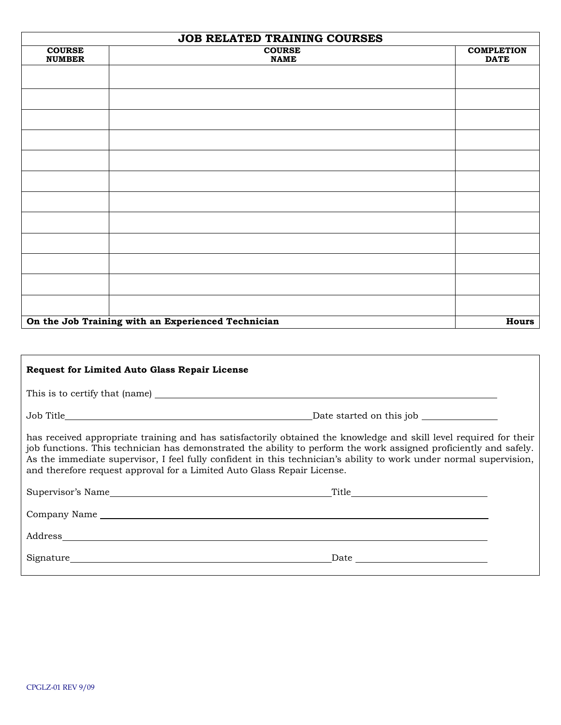| JOB RELATED TRAINING COURSES                       |                              |                                  |
|----------------------------------------------------|------------------------------|----------------------------------|
| <b>COURSE</b><br><b>NUMBER</b>                     | <b>COURSE</b><br><b>NAME</b> | <b>COMPLETION</b><br><b>DATE</b> |
|                                                    |                              |                                  |
|                                                    |                              |                                  |
|                                                    |                              |                                  |
|                                                    |                              |                                  |
|                                                    |                              |                                  |
|                                                    |                              |                                  |
|                                                    |                              |                                  |
|                                                    |                              |                                  |
|                                                    |                              |                                  |
|                                                    |                              |                                  |
|                                                    |                              |                                  |
|                                                    |                              |                                  |
| On the Job Training with an Experienced Technician | <b>Hours</b>                 |                                  |

| <b>Request for Limited Auto Glass Repair License</b>                                                                                                                                                                                                                                                                                                                                                                                     |  |  |  |  |  |
|------------------------------------------------------------------------------------------------------------------------------------------------------------------------------------------------------------------------------------------------------------------------------------------------------------------------------------------------------------------------------------------------------------------------------------------|--|--|--|--|--|
|                                                                                                                                                                                                                                                                                                                                                                                                                                          |  |  |  |  |  |
|                                                                                                                                                                                                                                                                                                                                                                                                                                          |  |  |  |  |  |
| has received appropriate training and has satisfactorily obtained the knowledge and skill level required for their<br>job functions. This technician has demonstrated the ability to perform the work assigned proficiently and safely.<br>As the immediate supervisor, I feel fully confident in this technician's ability to work under normal supervision,<br>and therefore request approval for a Limited Auto Glass Repair License. |  |  |  |  |  |
|                                                                                                                                                                                                                                                                                                                                                                                                                                          |  |  |  |  |  |
| Company Name <b>Example 2018</b> Name and Second Second Second Second Second Second Second Second Second Second Second Second Second Second Second Second Second Second Second Second Second Second Second Second Second Second Sec                                                                                                                                                                                                      |  |  |  |  |  |
|                                                                                                                                                                                                                                                                                                                                                                                                                                          |  |  |  |  |  |
|                                                                                                                                                                                                                                                                                                                                                                                                                                          |  |  |  |  |  |